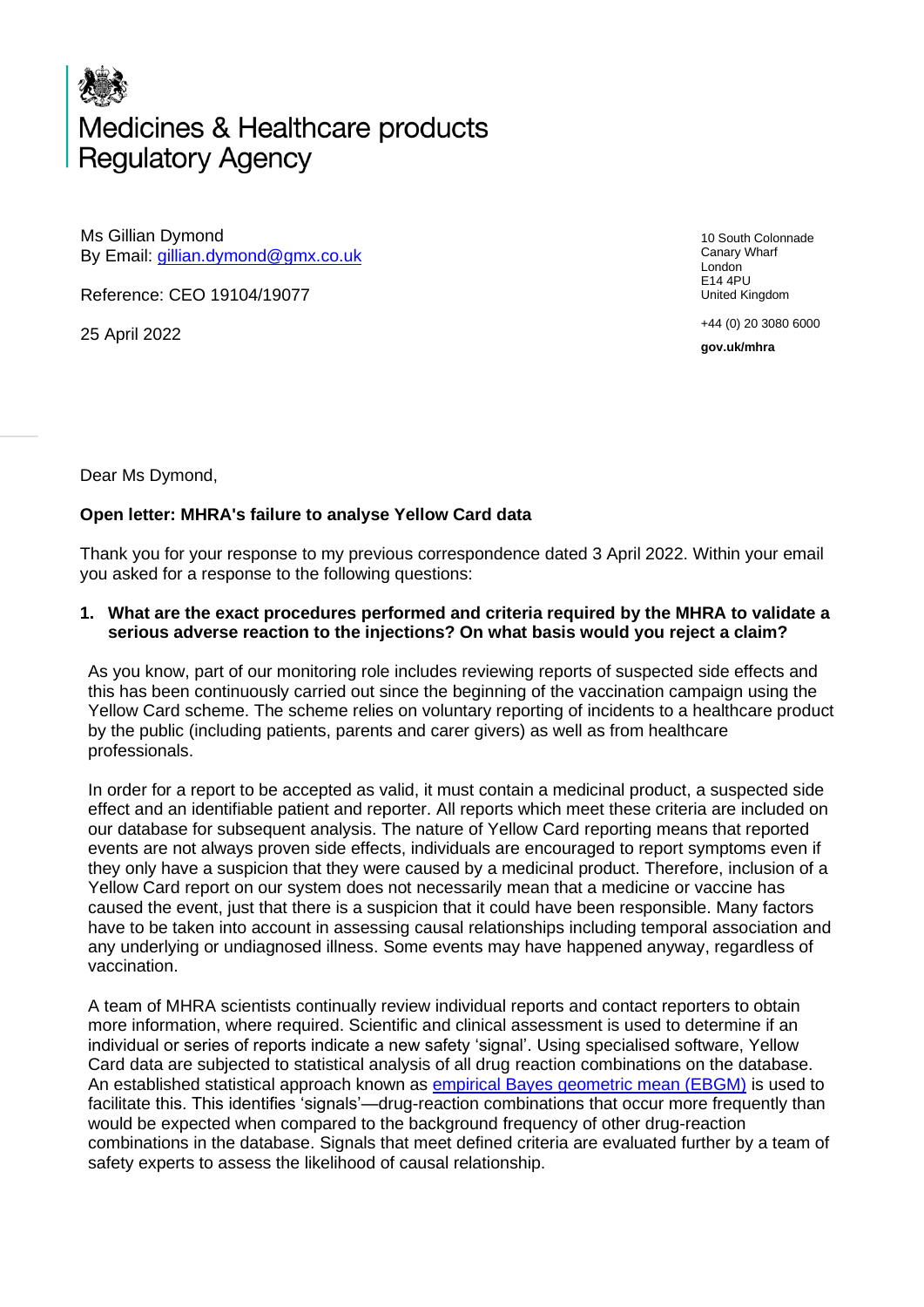## Medicines & Healthcare products **Regulatory Agency**

Ms Gillian Dymond By Email: [gillian.dymond@gmx.co.uk](mailto:gillian.dymond@gmx.co.uk)

Reference: CEO 19104/19077

25 April 2022

10 South Colonnade Canary Wharf London E14 4PU United Kingdom

+44 (0) 20 3080 6000

**gov.uk/mhra**

Dear Ms Dymond,

## **Open letter: MHRA's failure to analyse Yellow Card data**

Thank you for your response to my previous correspondence dated 3 April 2022. Within your email you asked for a response to the following questions:

## **1. What are the exact procedures performed and criteria required by the MHRA to validate a serious adverse reaction to the injections? On what basis would you reject a claim?**

As you know, part of our monitoring role includes reviewing reports of suspected side effects and this has been continuously carried out since the beginning of the vaccination campaign using the Yellow Card scheme. The scheme relies on voluntary reporting of incidents to a healthcare product by the public (including patients, parents and carer givers) as well as from healthcare professionals.

In order for a report to be accepted as valid, it must contain a medicinal product, a suspected side effect and an identifiable patient and reporter. All reports which meet these criteria are included on our database for subsequent analysis. The nature of Yellow Card reporting means that reported events are not always proven side effects, individuals are encouraged to report symptoms even if they only have a suspicion that they were caused by a medicinal product. Therefore, inclusion of a Yellow Card report on our system does not necessarily mean that a medicine or vaccine has caused the event, just that there is a suspicion that it could have been responsible. Many factors have to be taken into account in assessing causal relationships including temporal association and any underlying or undiagnosed illness. Some events may have happened anyway, regardless of vaccination.

A team of MHRA scientists continually review individual reports and contact reporters to obtain more information, where required. Scientific and clinical assessment is used to determine if an individual or series of reports indicate a new safety 'signal'. Using specialised software, Yellow Card data are subjected to statistical analysis of all drug reaction combinations on the database. An established statistical approach known as [empirical Bayes geometric mean \(EBGM\)](https://www.encepp.eu/standards_and_guidances/methodologicalGuide9.shtml) is used to facilitate this. This identifies 'signals'—drug-reaction combinations that occur more frequently than would be expected when compared to the background frequency of other drug-reaction combinations in the database. Signals that meet defined criteria are evaluated further by a team of safety experts to assess the likelihood of causal relationship.